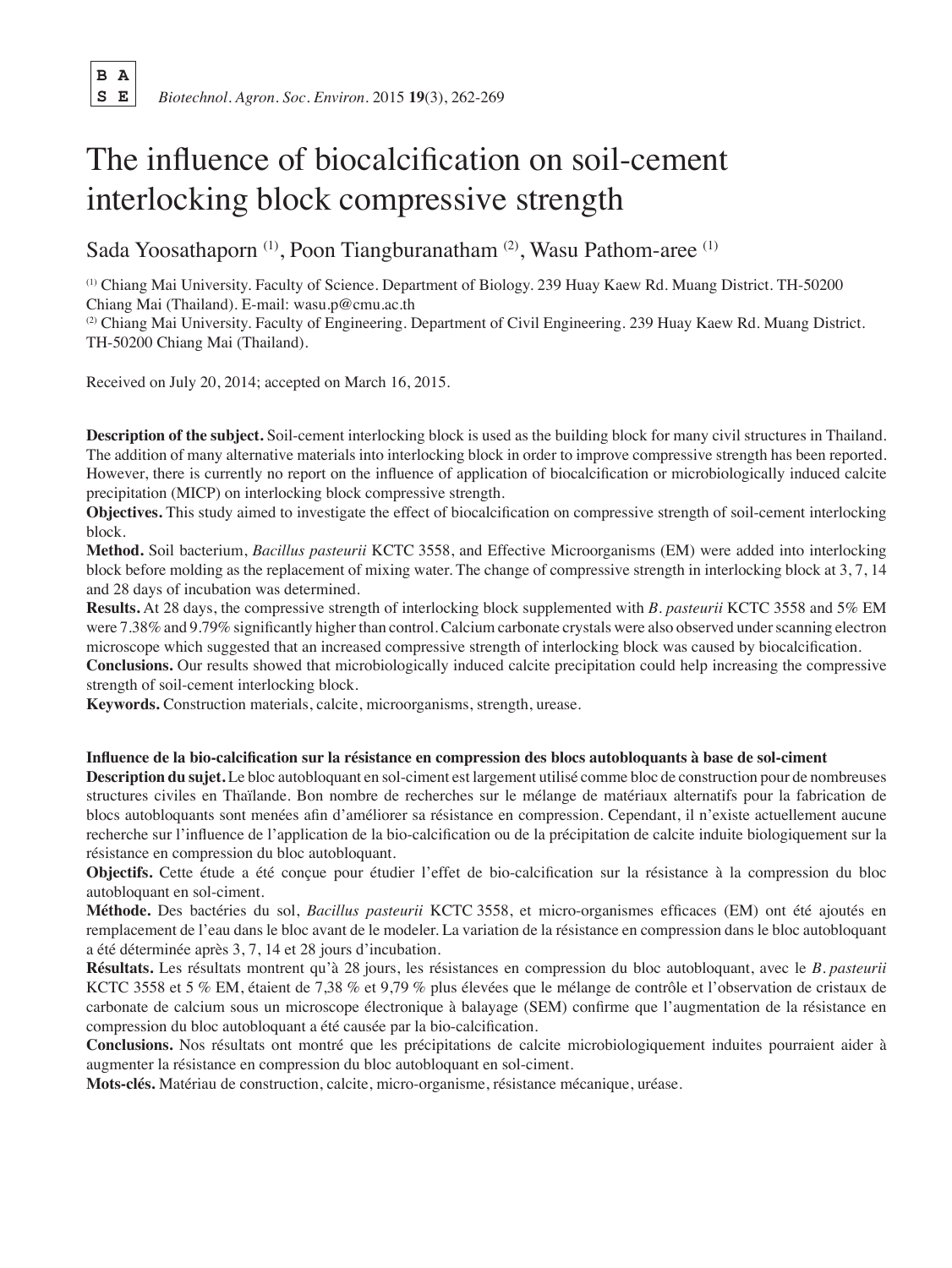**B A**

 **S E** *Biotechnol. Agron. Soc. Environ.* 2015 **19**(3), 262-269

# The influence of biocalcification on soil-cement interlocking block compressive strength

Sada Yoosathaporn (1), Poon Tiangburanatham (2), Wasu Pathom-aree (1)

(1) Chiang Mai University. Faculty of Science. Department of Biology. 239 Huay Kaew Rd. Muang District. TH-50200 Chiang Mai (Thailand). E-mail: wasu.p@cmu.ac.th

(2) Chiang Mai University. Faculty of Engineering. Department of Civil Engineering. 239 Huay Kaew Rd. Muang District. TH-50200 Chiang Mai (Thailand).

Received on July 20, 2014; accepted on March 16, 2015.

**Description of the subject.** Soil-cement interlocking block is used as the building block for many civil structures in Thailand. The addition of many alternative materials into interlocking block in order to improve compressive strength has been reported. However, there is currently no report on the influence of application of biocalcification or microbiologically induced calcite precipitation (MICP) on interlocking block compressive strength.

**Objectives.** This study aimed to investigate the effect of biocalcification on compressive strength of soil-cement interlocking block.

**Method.** Soil bacterium, *Bacillus pasteurii* KCTC 3558, and Effective Microorganisms (EM) were added into interlocking block before molding as the replacement of mixing water. The change of compressive strength in interlocking block at 3, 7, 14 and 28 days of incubation was determined.

**Results.** At 28 days, the compressive strength of interlocking block supplemented with *B. pasteurii* KCTC 3558 and 5% EM were 7.38% and 9.79% significantly higher than control. Calcium carbonate crystals were also observed under scanning electron microscope which suggested that an increased compressive strength of interlocking block was caused by biocalcification.

**Conclusions.** Our results showed that microbiologically induced calcite precipitation could help increasing the compressive strength of soil-cement interlocking block.

**Keywords.** Construction materials, calcite, microorganisms, strength, urease.

**Influence de la bio-calcification sur la résistance en compression des blocs autobloquants à base de sol-ciment**

**Description du sujet.** Le bloc autobloquant en sol-ciment est largement utilisé comme bloc de construction pour de nombreuses structures civiles en Thaïlande. Bon nombre de recherches sur le mélange de matériaux alternatifs pour la fabrication de blocs autobloquants sont menées afin d'améliorer sa résistance en compression. Cependant, il n'existe actuellement aucune recherche sur l'influence de l'application de la bio-calcification ou de la précipitation de calcite induite biologiquement sur la résistance en compression du bloc autobloquant.

**Objectifs.** Cette étude a été conçue pour étudier l'effet de bio-calcification sur la résistance à la compression du bloc autobloquant en sol-ciment.

**Méthode.** Des bactéries du sol, *Bacillus pasteurii* KCTC 3558, et micro-organismes efficaces (EM) ont été ajoutés en remplacement de l'eau dans le bloc avant de le modeler. La variation de la résistance en compression dans le bloc autobloquant a été déterminée après 3, 7, 14 et 28 jours d'incubation.

**Résultats.** Les résultats montrent qu'à 28 jours, les résistances en compression du bloc autobloquant, avec le *B. pasteurii* KCTC 3558 et 5 % EM, étaient de 7,38 % et 9,79 % plus élevées que le mélange de contrôle et l'observation de cristaux de carbonate de calcium sous un microscope électronique à balayage (SEM) confirme que l'augmentation de la résistance en compression du bloc autobloquant a été causée par la bio-calcification.

**Conclusions.** Nos résultats ont montré que les précipitations de calcite microbiologiquement induites pourraient aider à augmenter la résistance en compression du bloc autobloquant en sol-ciment.

**Mots-clés.** Matériau de construction, calcite, micro-organisme, résistance mécanique, uréase.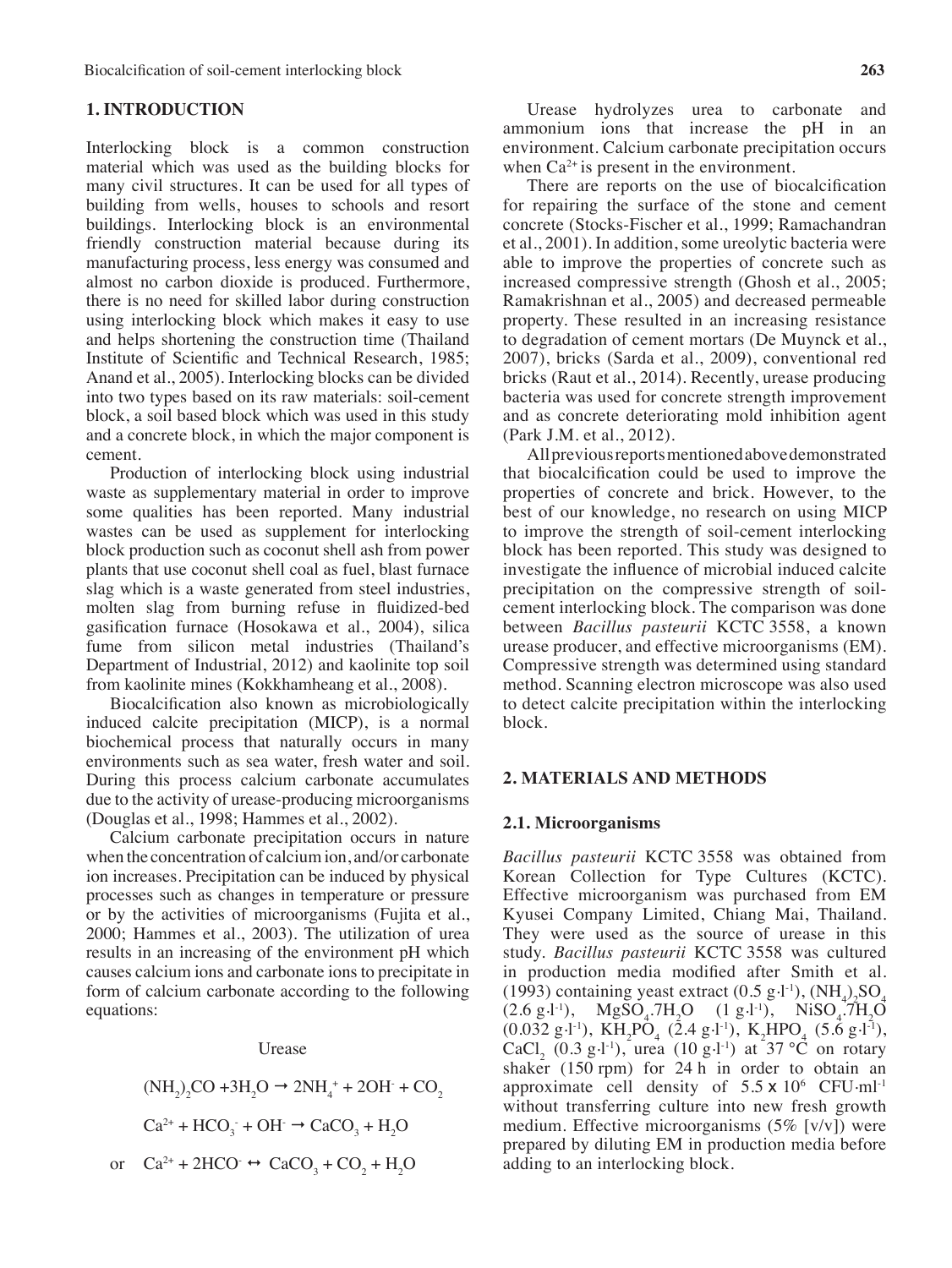# **1. INTRODUCTION**

Interlocking block is a common construction material which was used as the building blocks for many civil structures. It can be used for all types of building from wells, houses to schools and resort buildings. Interlocking block is an environmental friendly construction material because during its manufacturing process, less energy was consumed and almost no carbon dioxide is produced. Furthermore, there is no need for skilled labor during construction using interlocking block which makes it easy to use and helps shortening the construction time (Thailand Institute of Scientific and Technical Research, 1985; Anand et al., 2005). Interlocking blocks can be divided into two types based on its raw materials: soil-cement block, a soil based block which was used in this study and a concrete block, in which the major component is cement.

Production of interlocking block using industrial waste as supplementary material in order to improve some qualities has been reported. Many industrial wastes can be used as supplement for interlocking block production such as coconut shell ash from power plants that use coconut shell coal as fuel, blast furnace slag which is a waste generated from steel industries, molten slag from burning refuse in fluidized-bed gasification furnace (Hosokawa et al., 2004), silica fume from silicon metal industries (Thailand's Department of Industrial, 2012) and kaolinite top soil from kaolinite mines (Kokkhamheang et al., 2008).

Biocalcification also known as microbiologically induced calcite precipitation (MICP), is a normal biochemical process that naturally occurs in many environments such as sea water, fresh water and soil. During this process calcium carbonate accumulates due to the activity of urease-producing microorganisms (Douglas et al., 1998; Hammes et al., 2002).

Calcium carbonate precipitation occurs in nature when the concentration of calciumion, and/or carbonate ion increases. Precipitation can be induced by physical processes such as changes in temperature or pressure or by the activities of microorganisms (Fujita et al., 2000; Hammes et al., 2003). The utilization of urea results in an increasing of the environment pH which causes calcium ions and carbonate ions to precipitate in form of calcium carbonate according to the following equations:

#### Urease

$$
(NH2)2CO + 3H2O \rightarrow 2NH4 + 2OH + CO2
$$
  
\n
$$
Ca2+ + HCO3 + OH \rightarrow CaCO3 + H2O
$$
  
\nor 
$$
Ca2+ + 2HCO \leftrightarrow CaCO3 + CO2 + H2O
$$

Urease hydrolyzes urea to carbonate and ammonium ions that increase the pH in an environment. Calcium carbonate precipitation occurs when  $Ca^{2+}$  is present in the environment.

There are reports on the use of biocalcification for repairing the surface of the stone and cement concrete (Stocks-Fischer et al., 1999; Ramachandran et al., 2001). In addition, some ureolytic bacteria were able to improve the properties of concrete such as increased compressive strength (Ghosh et al., 2005; Ramakrishnan et al., 2005) and decreased permeable property. These resulted in an increasing resistance to degradation of cement mortars (De Muynck et al., 2007), bricks (Sarda et al., 2009), conventional red bricks (Raut et al., 2014). Recently, urease producing bacteria was used for concrete strength improvement and as concrete deteriorating mold inhibition agent (Park J.M. et al., 2012).

Allpreviousreportsmentionedabovedemonstrated that biocalcification could be used to improve the properties of concrete and brick. However, to the best of our knowledge, no research on using MICP to improve the strength of soil-cement interlocking block has been reported. This study was designed to investigate the influence of microbial induced calcite precipitation on the compressive strength of soilcement interlocking block. The comparison was done between *Bacillus pasteurii* KCTC 3558, a known urease producer, and effective microorganisms (EM). Compressive strength was determined using standard method. Scanning electron microscope was also used to detect calcite precipitation within the interlocking block.

#### **2. MATERIALS AND METHODS**

## **2.1. Microorganisms**

*Bacillus pasteurii* KCTC 3558 was obtained from Korean Collection for Type Cultures (KCTC). Effective microorganism was purchased from EM Kyusei Company Limited, Chiang Mai, Thailand. They were used as the source of urease in this study. *Bacillus pasteurii* KCTC 3558 was cultured in production media modified after Smith et al. (1993) containing yeast extract  $(0.5 \text{ g} \cdot 1)$ ,  $(\text{NH}_4)_{2}\text{SO}_4$  $(2.6 \text{ g} \cdot \text{l}^{-1}),$  $^{1}$ ), MgSO<sub>4</sub>.7H<sub>2</sub>O (1 g.1<sup>1</sup>), NiSO<sub>4</sub>.7H<sub>2</sub>O  $(0.032 \text{ g} \cdot \text{L}^{\text{-1}})$ , KH<sub>2</sub>PO<sub>4</sub> (2.4 g.l<sup>-1</sup>), K<sub>2</sub>HPO<sub>4</sub> (5.6 g.l<sup>-1</sup>), CaCl<sub>2</sub> (0.3 g·l<sup>-1</sup>), urea (10 g·l<sup>-1</sup>) at 37 °C on rotary shaker (150 rpm) for 24 h in order to obtain an approximate cell density of  $5.5 \times 10^6$  CFU·ml<sup>-1</sup> without transferring culture into new fresh growth medium. Effective microorganisms (5% [v/v]) were prepared by diluting EM in production media before adding to an interlocking block.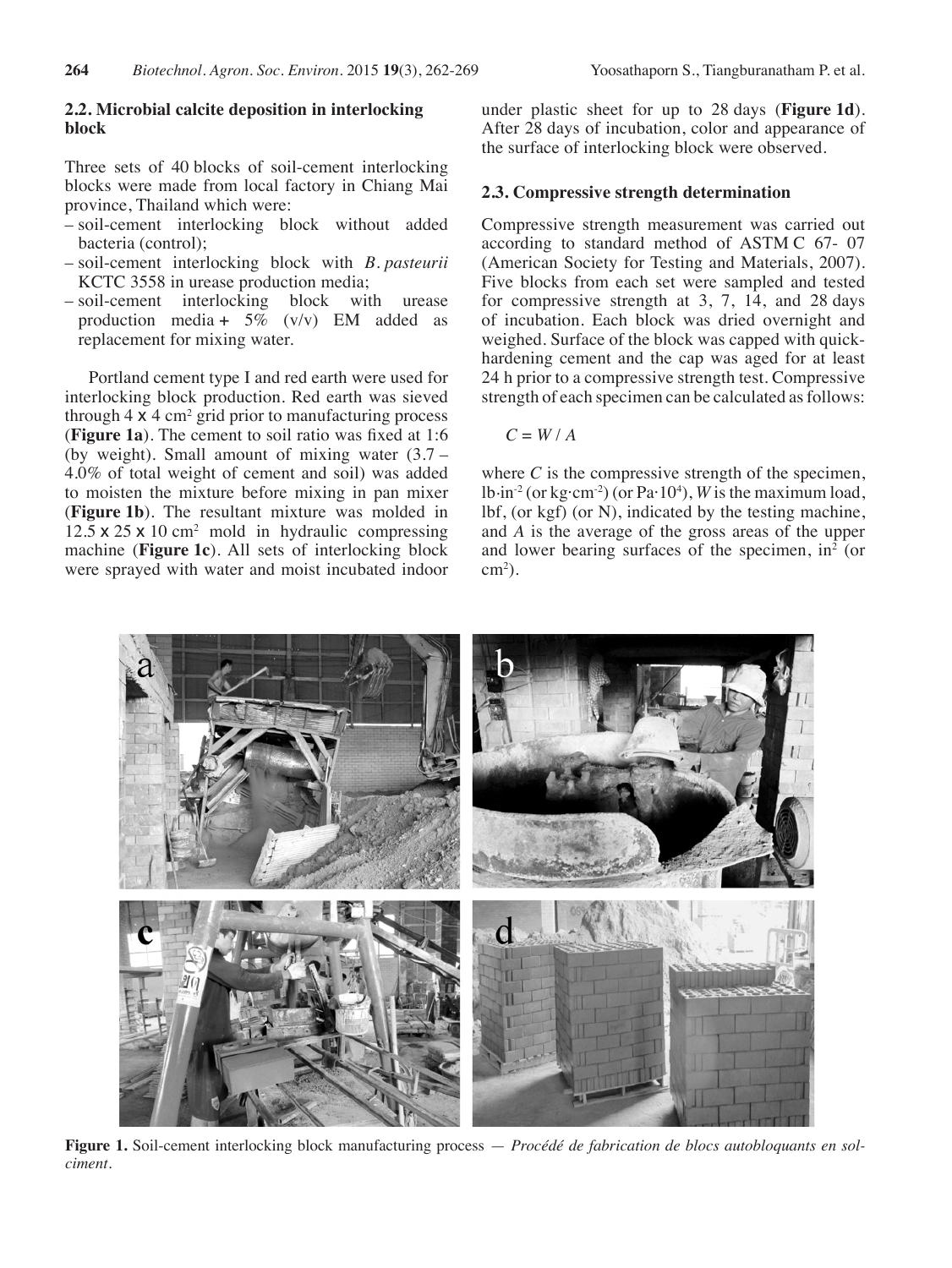# **2.2. Microbial calcite deposition in interlocking block**

Three sets of 40 blocks of soil-cement interlocking blocks were made from local factory in Chiang Mai province, Thailand which were:

- soil-cement interlocking block without added bacteria (control);
- soil-cement interlocking block with *B. pasteurii* KCTC 3558 in urease production media;
- soil-cement interlocking block with urease production media +  $5\%$  (v/v) EM added as replacement for mixing water.

Portland cement type I and red earth were used for interlocking block production. Red earth was sieved through  $4 \times 4$  cm<sup>2</sup> grid prior to manufacturing process (**Figure 1a**). The cement to soil ratio was fixed at 1:6 (by weight). Small amount of mixing water (3.7 – 4.0% of total weight of cement and soil) was added to moisten the mixture before mixing in pan mixer (**Figure 1b**). The resultant mixture was molded in  $12.5 \times 25 \times 10$  cm<sup>2</sup> mold in hydraulic compressing machine (**Figure 1c**). All sets of interlocking block were sprayed with water and moist incubated indoor under plastic sheet for up to 28 days (**Figure 1d**). After 28 days of incubation, color and appearance of the surface of interlocking block were observed.

# **2.3. Compressive strength determination**

Compressive strength measurement was carried out according to standard method of ASTM C 67- 07 (American Society for Testing and Materials, 2007). Five blocks from each set were sampled and tested for compressive strength at 3, 7, 14, and 28 days of incubation. Each block was dried overnight and weighed. Surface of the block was capped with quickhardening cement and the cap was aged for at least 24 h prior to a compressive strength test. Compressive strength of each specimen can be calculated as follows:

$$
C = W/A
$$

where  $C$  is the compressive strength of the specimen, lb.in-2 (or kg·cm-2) (or Pa·104 ), *W* is the maximum load, lbf, (or kgf) (or N), indicated by the testing machine, and *A* is the average of the gross areas of the upper and lower bearing surfaces of the specimen,  $in^2$  (or  $\text{cm}^2$ ).



**Figure 1.** Soil-cement interlocking block manufacturing process — *Procédé de fabrication de blocs autobloquants en solciment.*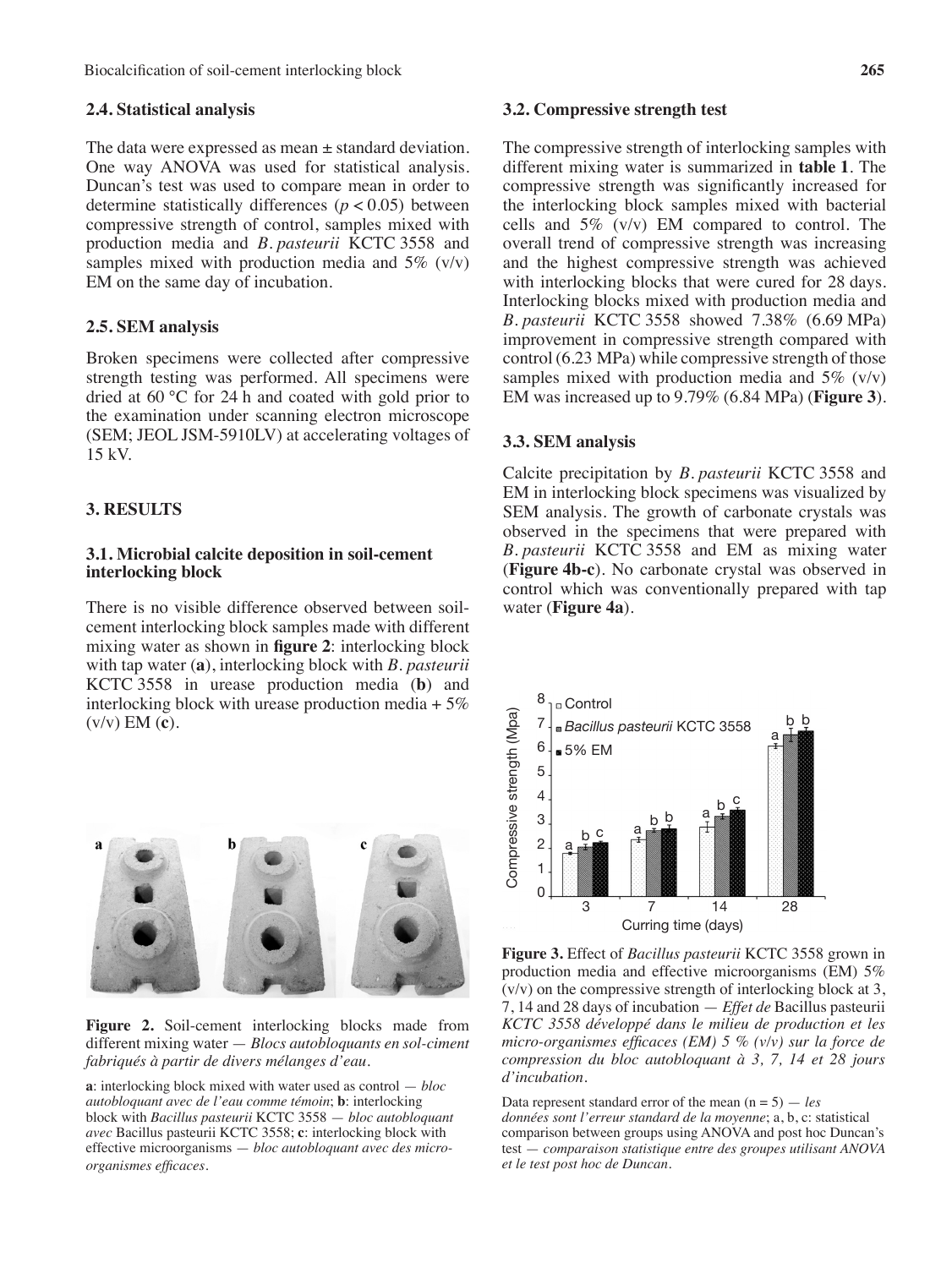# **2.4. Statistical analysis**

The data were expressed as mean  $\pm$  standard deviation. One way ANOVA was used for statistical analysis. Duncan's test was used to compare mean in order to determine statistically differences (*p* < 0.05) between compressive strength of control, samples mixed with production media and *B. pasteurii* KCTC 3558 and samples mixed with production media and  $5\%$  (v/v) EM on the same day of incubation.

# **2.5. SEM analysis**

Broken specimens were collected after compressive strength testing was performed. All specimens were dried at 60 °C for 24 h and coated with gold prior to the examination under scanning electron microscope (SEM; JEOL JSM-5910LV) at accelerating voltages of 15 kV.

# **3. RESULTS**

## **3.1. Microbial calcite deposition in soil-cement interlocking block**

There is no visible difference observed between soilcement interlocking block samples made with different mixing water as shown in **figure 2**: interlocking block with tap water (**a**), interlocking block with *B. pasteurii* KCTC 3558 in urease production media (**b**) and interlocking block with urease production media  $+5\%$ (v/v) EM (**c**).



**Figure 2.** Soil-cement interlocking blocks made from different mixing water — *Blocs autobloquants en sol-ciment fabriqués à partir de divers mélanges d'eau*.

**a**: interlocking block mixed with water used as control — *bloc autobloquant avec de l'eau comme témoin*; **b**: interlocking block with *Bacillus pasteurii* KCTC 3558 — *bloc autobloquant avec* Bacillus pasteurii KCTC 3558; **c**: interlocking block with effective microorganisms — *bloc autobloquant avec des microorganismes efficaces.*

#### **3.2. Compressive strength test**

The compressive strength of interlocking samples with different mixing water is summarized in **table 1**. The compressive strength was significantly increased for the interlocking block samples mixed with bacterial cells and 5% (v/v) EM compared to control. The overall trend of compressive strength was increasing and the highest compressive strength was achieved with interlocking blocks that were cured for 28 days. Interlocking blocks mixed with production media and *B. pasteurii* KCTC 3558 showed 7.38% (6.69 MPa) improvement in compressive strength compared with control (6.23 MPa) while compressive strength of those samples mixed with production media and  $5\%$  (v/v) EM was increased up to 9.79% (6.84 MPa) (**Figure 3**).

## **3.3. SEM analysis**

Calcite precipitation by *B. pasteurii* KCTC 3558 and EM in interlocking block specimens was visualized by SEM analysis. The growth of carbonate crystals was observed in the specimens that were prepared with *B. pasteurii* KCTC 3558 and EM as mixing water (**Figure 4b-c**). No carbonate crystal was observed in control which was conventionally prepared with tap water (**Figure 4a**).



**Figure 3.** Effect of *Bacillus pasteurii* KCTC 3558 grown in production media and effective microorganisms (EM) 5%  $(v/v)$  on the compressive strength of interlocking block at 3, 7, 14 and 28 days of incubation — *Effet de* Bacillus pasteurii *KCTC 3558 développé dans le milieu de production et les micro-organismes efficaces (EM) 5 % (v/v) sur la force de compression du bloc autobloquant à 3, 7, 14 et 28 jours d'incubation.*

Data represent standard error of the mean (n = 5) — *les données sont l'erreur standard de la moyenne*; a, b, c: statistical comparison between groups using ANOVA and post hoc Duncan's test — *comparaison statistique entre des groupes utilisant ANOVA et le test post hoc de Duncan.*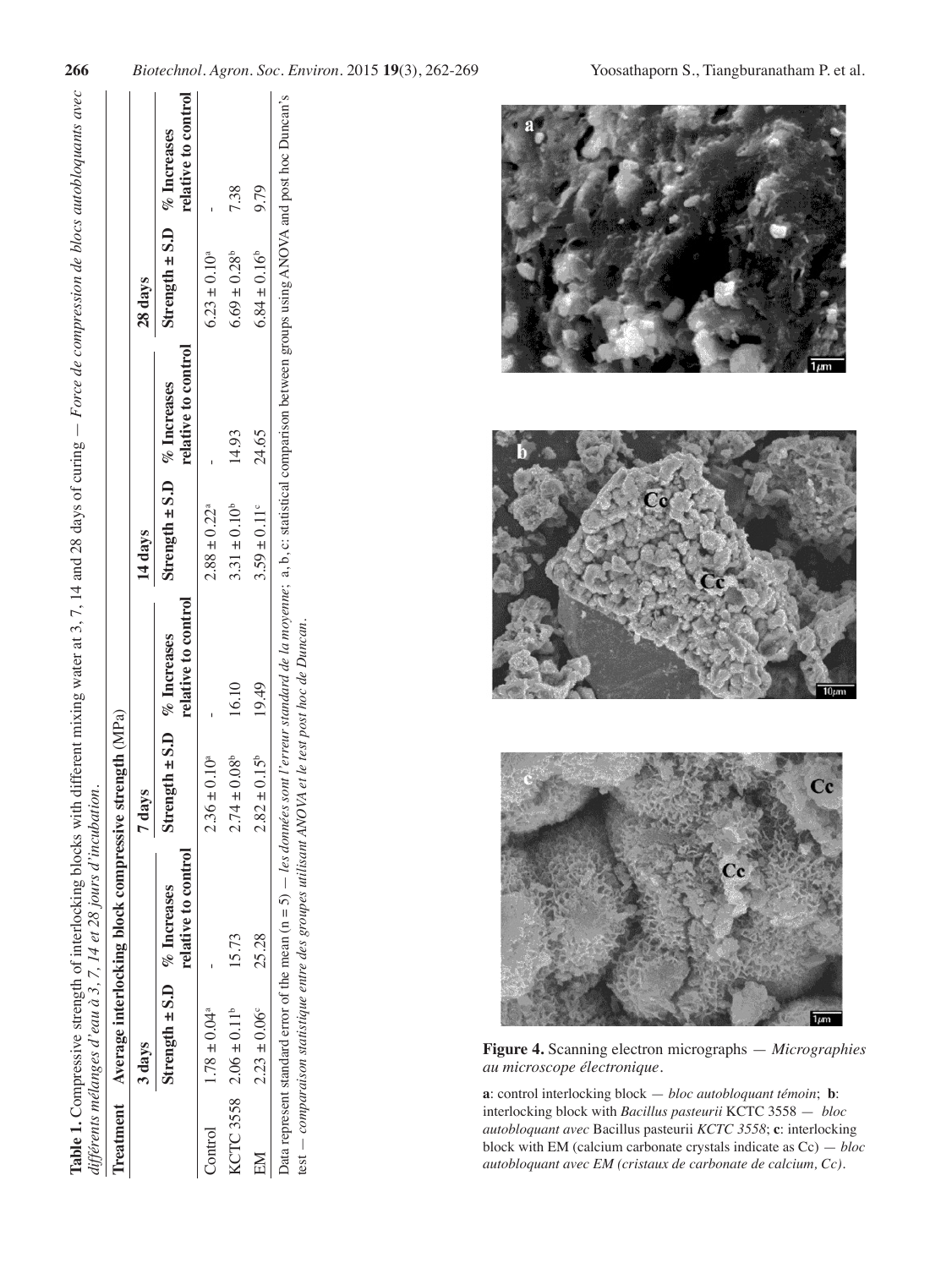| l                     |     |
|-----------------------|-----|
|                       |     |
|                       |     |
|                       |     |
|                       |     |
|                       |     |
|                       |     |
|                       |     |
|                       |     |
|                       |     |
| $\sigma - \mu$<br>ļ,  |     |
|                       |     |
|                       |     |
|                       |     |
| こうしょ<br>$\frac{1}{2}$ |     |
|                       |     |
| $\frac{1}{2}$         |     |
| ľ<br>ľ                |     |
|                       |     |
|                       |     |
|                       |     |
|                       |     |
|                       |     |
|                       |     |
| $\ddot{\phantom{0}}$  | ŌП. |
|                       |     |
|                       |     |
|                       |     |
| J                     |     |
|                       |     |
|                       |     |
|                       |     |
|                       |     |
|                       |     |
|                       | J   |
|                       |     |
| j                     |     |
|                       |     |
|                       | S   |

|         |                                               | Treatment Average interlocking block compressive strength (MPa) |                                |                     |                                |                     |                                |                     |
|---------|-----------------------------------------------|-----------------------------------------------------------------|--------------------------------|---------------------|--------------------------------|---------------------|--------------------------------|---------------------|
|         | 3 days                                        |                                                                 | 7 days                         |                     | 14 days                        |                     | 28 days                        |                     |
|         | Strength $\pm$ S.D $%$ D <sub>n</sub> creases | relative to control                                             | Strength $\pm$ S.D % Increases | relative to control | Strength $\pm$ S.D % Increases | relative to control | Strength $\pm$ S.D % Increases | relative to control |
| Control | $1.78 \pm 0.04$ <sup>a</sup>                  |                                                                 | $2.36 \pm 0.10^a$              |                     | $2.88 \pm 0.22^{\circ}$        |                     | $6.23 \pm 0.10^a$              |                     |
|         | KCTC 3558 $2.06 \pm 0.11^b$                   | 15.73                                                           | $2.74 \pm 0.08$ <sup>b</sup>   | 16.10               | $3.31 \pm 0.10^b$              | 14.93               | $6.69 \pm 0.28^b$              | 738                 |
| EM      | $2.23 \pm 0.06$                               | 25.28                                                           | $2.82 \pm 0.15^b$              | 19.49               | $3.59 \pm 0.11$ °              | 24.65               | $6.84 \pm 0.16^b$              | 9.79                |



**Figure 4.** Scanning electron micrographs — *Micrographies au microscope électronique*.

**a**: control interlocking block — *bloc autobloquant témoin*; **b**: interlocking block with *Bacillus pasteurii* KCTC 3558 — *bloc autobloquant avec* Bacillus pasteurii *KCTC 3558*; **c**: interlocking block with EM (calcium carbonate crystals indicate as Cc) — *bloc autobloquant avec EM (cristaux de carbonate de calcium, Cc).*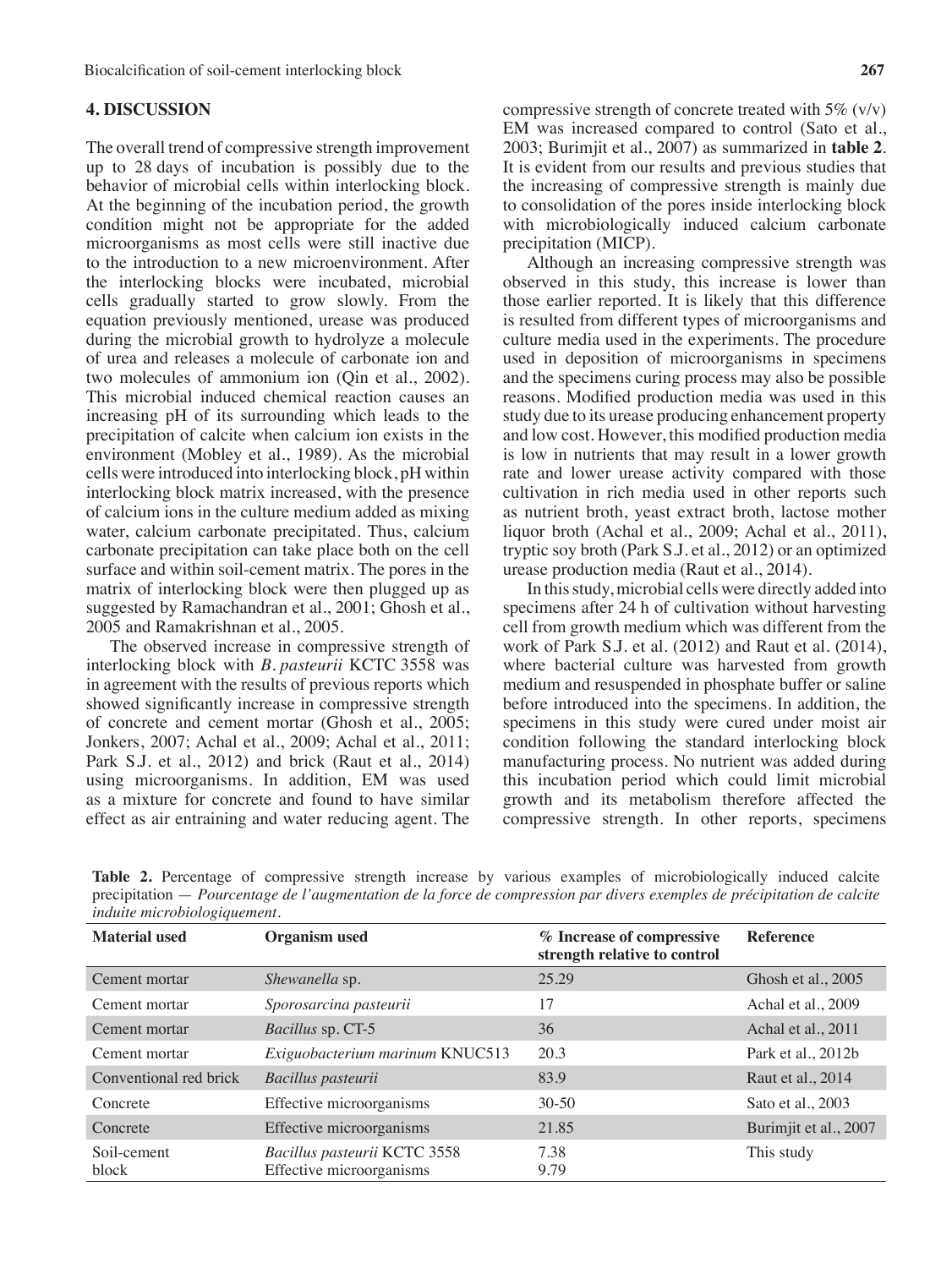# **4. DISCUSSION**

The overall trend of compressive strength improvement up to 28 days of incubation is possibly due to the behavior of microbial cells within interlocking block. At the beginning of the incubation period, the growth condition might not be appropriate for the added microorganisms as most cells were still inactive due to the introduction to a new microenvironment. After the interlocking blocks were incubated, microbial cells gradually started to grow slowly. From the equation previously mentioned, urease was produced during the microbial growth to hydrolyze a molecule of urea and releases a molecule of carbonate ion and two molecules of ammonium ion (Qin et al., 2002). This microbial induced chemical reaction causes an increasing pH of its surrounding which leads to the precipitation of calcite when calcium ion exists in the environment (Mobley et al., 1989). As the microbial cells were introduced into interlocking block, pH within interlocking block matrix increased, with the presence of calcium ions in the culture medium added as mixing water, calcium carbonate precipitated. Thus, calcium carbonate precipitation can take place both on the cell surface and within soil-cement matrix. The pores in the matrix of interlocking block were then plugged up as suggested by Ramachandran et al., 2001; Ghosh et al., 2005 and Ramakrishnan et al., 2005.

The observed increase in compressive strength of interlocking block with *B. pasteurii* KCTC 3558 was in agreement with the results of previous reports which showed significantly increase in compressive strength of concrete and cement mortar (Ghosh et al., 2005; Jonkers, 2007; Achal et al., 2009; Achal et al., 2011; Park S.J. et al., 2012) and brick (Raut et al., 2014) using microorganisms. In addition, EM was used as a mixture for concrete and found to have similar effect as air entraining and water reducing agent. The

compressive strength of concrete treated with  $5\%$  (v/v) EM was increased compared to control (Sato et al., 2003; Burimjit et al., 2007) as summarized in **table 2**. It is evident from our results and previous studies that the increasing of compressive strength is mainly due to consolidation of the pores inside interlocking block with microbiologically induced calcium carbonate precipitation (MICP).

Although an increasing compressive strength was observed in this study, this increase is lower than those earlier reported. It is likely that this difference is resulted from different types of microorganisms and culture media used in the experiments. The procedure used in deposition of microorganisms in specimens and the specimens curing process may also be possible reasons. Modified production media was used in this study due to its urease producing enhancement property and low cost. However, this modified production media is low in nutrients that may result in a lower growth rate and lower urease activity compared with those cultivation in rich media used in other reports such as nutrient broth, yeast extract broth, lactose mother liquor broth (Achal et al., 2009; Achal et al., 2011), tryptic soy broth (Park S.J. et al., 2012) or an optimized urease production media (Raut et al., 2014).

In thisstudy,microbial cells were directly added into specimens after 24 h of cultivation without harvesting cell from growth medium which was different from the work of Park S.J. et al. (2012) and Raut et al. (2014), where bacterial culture was harvested from growth medium and resuspended in phosphate buffer or saline before introduced into the specimens. In addition, the specimens in this study were cured under moist air condition following the standard interlocking block manufacturing process. No nutrient was added during this incubation period which could limit microbial growth and its metabolism therefore affected the compressive strength. In other reports, specimens

|                                     |  |  |  |  |  |  |  |  |  |  | <b>Table 2.</b> Percentage of compressive strength increase by various examples of microbiologically induced calcite     |  |
|-------------------------------------|--|--|--|--|--|--|--|--|--|--|--------------------------------------------------------------------------------------------------------------------------|--|
|                                     |  |  |  |  |  |  |  |  |  |  | precipitation — Pourcentage de l'augmentation de la force de compression par divers exemples de précipitation de calcite |  |
| <i>induite microbiologiquement.</i> |  |  |  |  |  |  |  |  |  |  |                                                                                                                          |  |

| <b>Material used</b>   | <b>Organism</b> used                                     | % Increase of compressive<br>strength relative to control | <b>Reference</b>      |
|------------------------|----------------------------------------------------------|-----------------------------------------------------------|-----------------------|
| Cement mortar          | Shewanella sp.                                           | 25.29                                                     | Ghosh et al., 2005    |
| Cement mortar          | Sporosarcina pasteurii                                   | 17                                                        | Achal et al., 2009    |
| Cement mortar          | Bacillus sp. CT-5                                        | 36                                                        | Achal et al., 2011    |
| Cement mortar          | Exiguobacterium marinum KNUC513                          | 20.3                                                      | Park et al., 2012b    |
| Conventional red brick | Bacillus pasteurii                                       | 83.9                                                      | Raut et al., 2014     |
| Concrete               | Effective microorganisms                                 | $30-50$                                                   | Sato et al., 2003     |
| Concrete               | Effective microorganisms                                 | 21.85                                                     | Burimjit et al., 2007 |
| Soil-cement<br>block   | Bacillus pasteurii KCTC 3558<br>Effective microorganisms | 7.38<br>9.79                                              | This study            |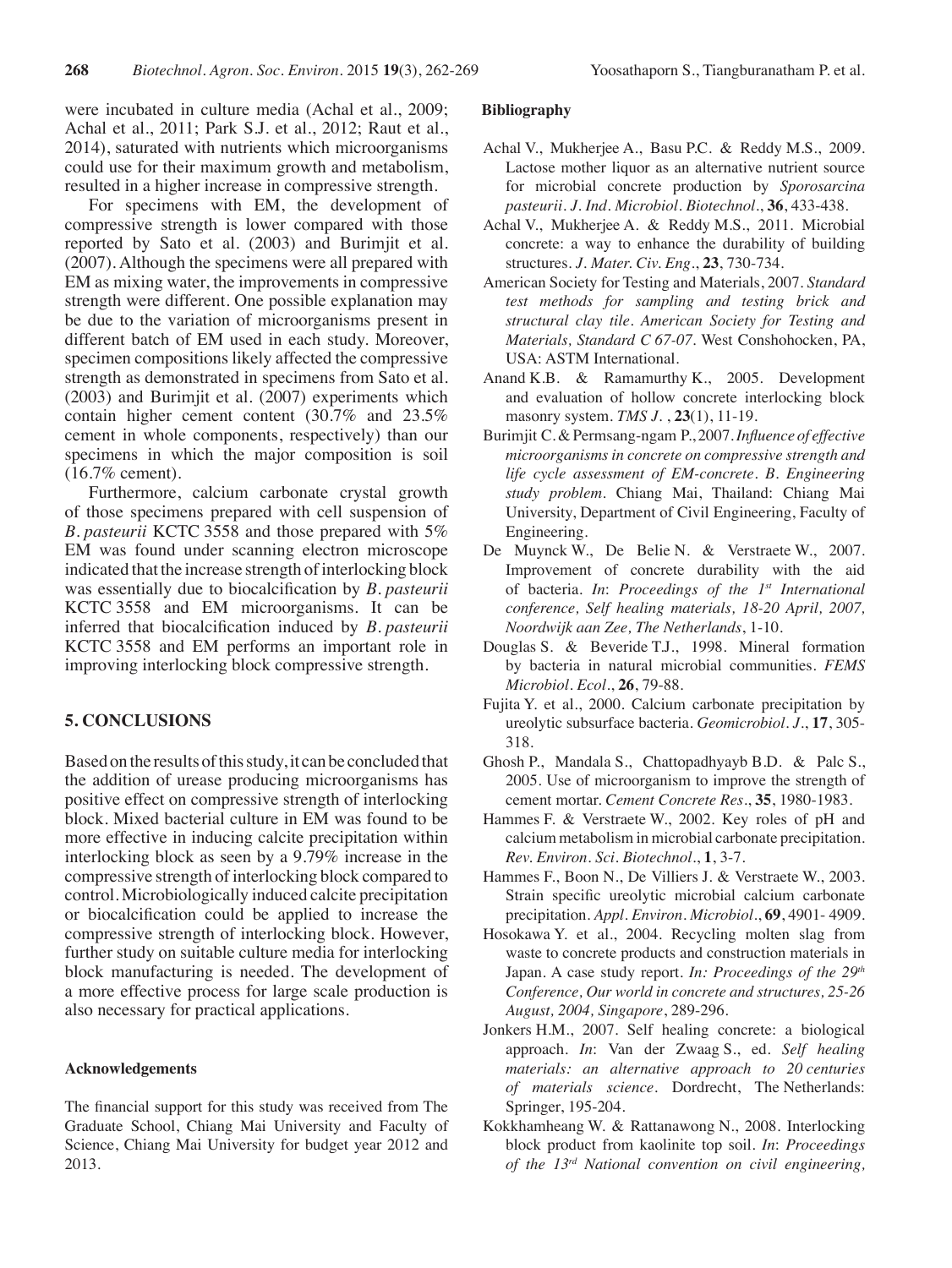were incubated in culture media (Achal et al., 2009; Achal et al., 2011; Park S.J. et al., 2012; Raut et al., 2014), saturated with nutrients which microorganisms could use for their maximum growth and metabolism, resulted in a higher increase in compressive strength.

For specimens with EM, the development of compressive strength is lower compared with those reported by Sato et al. (2003) and Burimjit et al. (2007). Although the specimens were all prepared with EM as mixing water, the improvements in compressive strength were different. One possible explanation may be due to the variation of microorganisms present in different batch of EM used in each study. Moreover, specimen compositions likely affected the compressive strength as demonstrated in specimens from Sato et al.  $(2003)$  and Burimjit et al.  $(2007)$  experiments which contain higher cement content (30.7% and 23.5% cement in whole components, respectively) than our specimens in which the major composition is soil (16.7% cement).

Furthermore, calcium carbonate crystal growth of those specimens prepared with cell suspension of *B. pasteurii* KCTC 3558 and those prepared with 5% EM was found under scanning electron microscope indicated that the increase strength of interlocking block was essentially due to biocalcification by *B. pasteurii* KCTC 3558 and EM microorganisms. It can be inferred that biocalcification induced by *B. pasteurii* KCTC 3558 and EM performs an important role in improving interlocking block compressive strength.

# **5. CONCLUSIONS**

Based on the results of this study, it can be concluded that the addition of urease producing microorganisms has positive effect on compressive strength of interlocking block. Mixed bacterial culture in EM was found to be more effective in inducing calcite precipitation within interlocking block as seen by a 9.79% increase in the compressive strength of interlocking block compared to control. Microbiologically induced calcite precipitation or biocalcification could be applied to increase the compressive strength of interlocking block. However, further study on suitable culture media for interlocking block manufacturing is needed. The development of a more effective process for large scale production is also necessary for practical applications.

#### **Acknowledgements**

The financial support for this study was received from The Graduate School, Chiang Mai University and Faculty of Science, Chiang Mai University for budget year 2012 and 2013.

## **Bibliography**

- Achal V., Mukherjee A., Basu P.C. & Reddy M.S., 2009. Lactose mother liquor as an alternative nutrient source for microbial concrete production by *Sporosarcina pasteurii*. *J. Ind. Microbiol. Biotechnol.*, **36**, 433-438.
- Achal V., Mukherjee A. & Reddy M.S., 2011. Microbial concrete: a way to enhance the durability of building structures. *J. Mater. Civ. Eng*., **23**, 730-734.
- American Society for Testing and Materials, 2007. *Standard test methods for sampling and testing brick and structural clay tile. American Society for Testing and Materials, Standard C 67-07*. West Conshohocken, PA, USA: ASTM International.
- Anand K.B. & Ramamurthy K., 2005. Development and evaluation of hollow concrete interlocking block masonry system. *TMS J*. , **23**(1), 11-19.
- Burimjit C.&Permsang-ngam P., 2007.*Influence of effective microorganisms in concrete on compressive strength and life cycle assessment of EM-concrete. B. Engineering study problem*. Chiang Mai, Thailand: Chiang Mai University, Department of Civil Engineering, Faculty of Engineering.
- De Muynck W., De Belie N. & Verstraete W., 2007. Improvement of concrete durability with the aid of bacteria. *In*: *Proceedings of the 1st International conference, Self healing materials, 18-20 April, 2007, Noordwijk aan Zee, The Netherlands*, 1-10.
- Douglas S. & Beveride T.J., 1998. Mineral formation by bacteria in natural microbial communities. *FEMS Microbiol. Ecol*., **26**, 79-88.
- Fujita Y. et al., 2000. Calcium carbonate precipitation by ureolytic subsurface bacteria. *Geomicrobiol*. *J*., **17**, 305- 318.
- Ghosh P., Mandala S., Chattopadhyayb B.D. & Palc S., 2005. Use of microorganism to improve the strength of cement mortar. *Cement Concrete Res*., **35**, 1980-1983.
- Hammes F. & Verstraete W., 2002. Key roles of pH and calcium metabolism in microbial carbonate precipitation. *Rev. Environ. Sci. Biotechnol*., **1**, 3-7.
- Hammes F., Boon N., De Villiers J. & Verstraete W., 2003. Strain specific ureolytic microbial calcium carbonate precipitation. *Appl. Environ. Microbiol*., **69**, 4901- 4909.
- Hosokawa Y. et al., 2004. Recycling molten slag from waste to concrete products and construction materials in Japan. A case study report. *In: Proceedings of the 29th Conference, Our world in concrete and structures, 25-26 August, 2004, Singapore*, 289-296.
- Jonkers H.M., 2007. Self healing concrete: a biological approach. *In*: Van der Zwaag S., ed. *Self healing materials: an alternative approach to 20 centuries of materials science*. Dordrecht, The Netherlands: Springer, 195-204.
- Kokkhamheang W. & Rattanawong N., 2008. Interlocking block product from kaolinite top soil. *In*: *Proceedings of the 13rd National convention on civil engineering,*